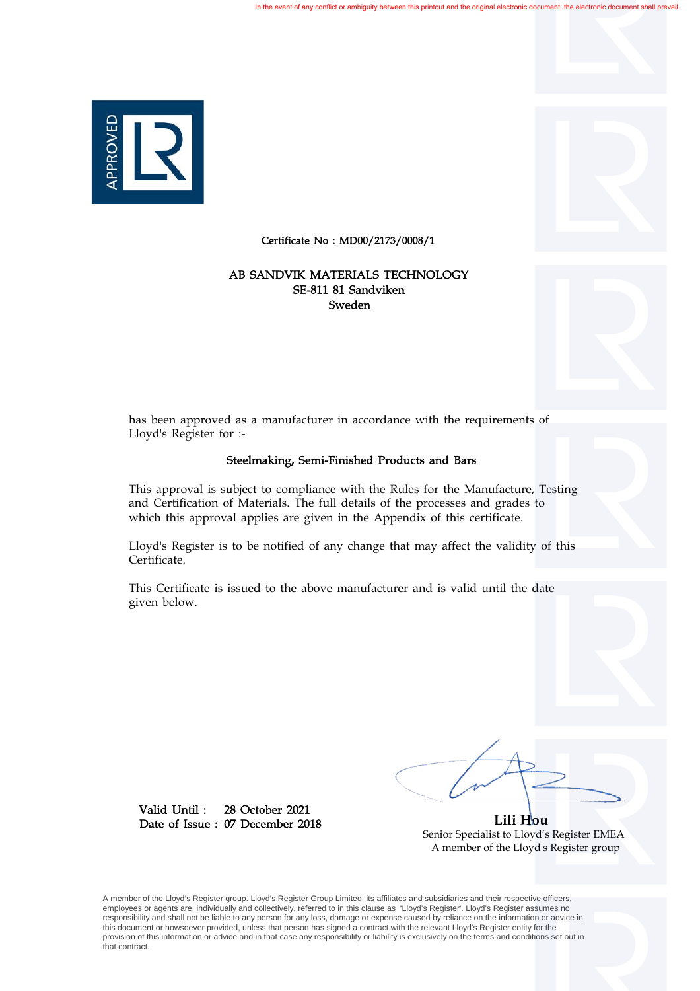

Certificate No : MD00/2173/0008/1

## Sweden SE-811 81 Sandviken AB SANDVIK MATERIALS TECHNOLOGY

has been approved as a manufacturer in accordance with the requirements of Lloyd's Register for :-

## Steelmaking, Semi-Finished Products and Bars

This approval is subject to compliance with the Rules for the Manufacture, Testing and Certification of Materials. The full details of the processes and grades to which this approval applies are given in the Appendix of this certificate.

Lloyd's Register is to be notified of any change that may affect the validity of this Certificate.

This Certificate is issued to the above manufacturer and is valid until the date given below.

28 October 2021 07 December 2018 Date of Issue : Valid Until :

 **Lili Hou** Senior Specialist to Lloyd's Register EMEA A member of the Lloyd's Register group

A member of the Lloyd's Register group. Lloyd's Register Group Limited, its affiliates and subsidiaries and their respective officers, employees or agents are, individually and collectively, referred to in this clause as 'Lloyd's Register'. Lloyd's Register assumes no responsibility and shall not be liable to any person for any loss, damage or expense caused by reliance on the information or advice in this document or howsoever provided, unless that person has signed a contract with the relevant Lloyd's Register entity for the provision of this information or advice and in that case any responsibility or liability is exclusively on the terms and conditions set out in that contract.